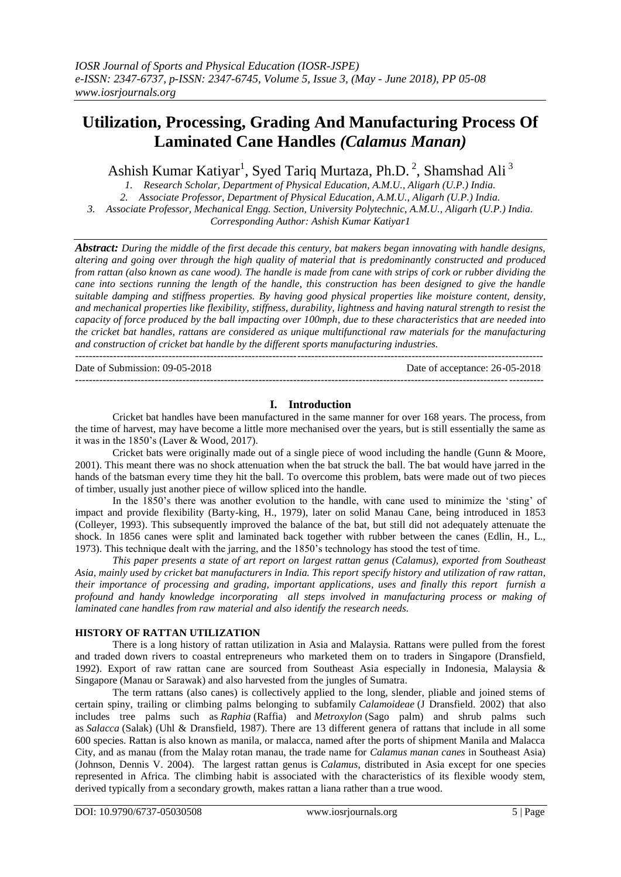# **Utilization, Processing, Grading And Manufacturing Process Of Laminated Cane Handles** *(Calamus Manan)*

Ashish Kumar Katiyar<sup>1</sup>, Syed Tariq Murtaza, Ph.D.<sup>2</sup>, Shamshad Ali<sup>3</sup>

*1. Research Scholar, Department of Physical Education, A.M.U., Aligarh (U.P.) India. 2. Associate Professor, Department of Physical Education, A.M.U., Aligarh (U.P.) India. 3. Associate Professor, Mechanical Engg. Section, University Polytechnic, A.M.U., Aligarh (U.P.) India. Corresponding Author: Ashish Kumar Katiyar1*

*Abstract: During the middle of the first decade this century, bat makers began innovating with handle designs, altering and going over through the high quality of material that is predominantly constructed and produced from rattan (also known as cane wood). The handle is made from cane with strips of cork or rubber dividing the cane into sections running the length of the handle, this construction has been designed to give the handle suitable damping and stiffness properties. By having good physical properties like moisture content, density, and mechanical properties like flexibility, stiffness, durability, lightness and having natural strength to resist the capacity of force produced by the ball impacting over 100mph, due to these characteristics that are needed into the cricket bat handles, rattans are considered as unique multifunctional raw materials for the manufacturing and construction of cricket bat handle by the different sports manufacturing industries.*

Date of Submission: 09-05-2018 Date of acceptance: 26-05-2018

# **I. Introduction**

---------------------------------------------------------------------------------------------------------------------------------------

---------------------------------------------------------------------------------------------------------------------------------------

Cricket bat handles have been manufactured in the same manner for over 168 years. The process, from the time of harvest, may have become a little more mechanised over the years, but is still essentially the same as it was in the 1850's (Laver & Wood, 2017).

Cricket bats were originally made out of a single piece of wood including the handle (Gunn & Moore, 2001). This meant there was no shock attenuation when the bat struck the ball. The bat would have jarred in the hands of the batsman every time they hit the ball. To overcome this problem, bats were made out of two pieces of timber, usually just another piece of willow spliced into the handle.

In the 1850's there was another evolution to the handle, with cane used to minimize the 'sting' of impact and provide flexibility (Barty-king, H., 1979), later on solid Manau Cane, being introduced in 1853 (Colleyer, 1993). This subsequently improved the balance of the bat, but still did not adequately attenuate the shock. In 1856 canes were split and laminated back together with rubber between the canes (Edlin, H., L., 1973). This technique dealt with the jarring, and the 1850's technology has stood the test of time.

*This paper presents a state of art report on largest rattan genus (Calamus), exported from Southeast Asia, mainly used by cricket bat manufacturers in India. This report specify history and utilization of raw rattan, their importance of processing and grading, important applications, uses and finally this report furnish a profound and handy knowledge incorporating all steps involved in manufacturing process or making of laminated cane handles from raw material and also identify the research needs.*

#### **HISTORY OF RATTAN UTILIZATION**

There is a long history of rattan utilization in Asia and Malaysia. Rattans were pulled from the forest and traded down rivers to coastal entrepreneurs who marketed them on to traders in Singapore (Dransfield, 1992). Export of raw rattan cane are sourced from Southeast Asia especially in Indonesia, Malaysia & Singapore (Manau or Sarawak) and also harvested from the jungles of Sumatra.

The term rattans (also canes) is collectively applied to the long, slender, pliable and joined stems of certain spiny, trailing or climbing palms belonging to subfamily *Calamoideae* (J Dransfield. 2002) that also includes tree palms such as *Raphia* (Raffia) and *Metroxylon* (Sago palm) and shrub palms such as *Salacca* (Salak) (Uhl & Dransfield, 1987). There are 13 different genera of rattans that include in all some 600 species. Rattan is also known as manila, or malacca, named after the ports of shipment Manila and Malacca City, and as manau (from the Malay rotan manau, the trade name for *Calamus manan canes* in Southeast Asia) (Johnson, Dennis V. 2004). The largest rattan genus is *Calamus*, distributed in Asia except for one species represented in Africa. The climbing habit is associated with the characteristics of its flexible woody stem, derived typically from a secondary growth, makes rattan a liana rather than a true wood.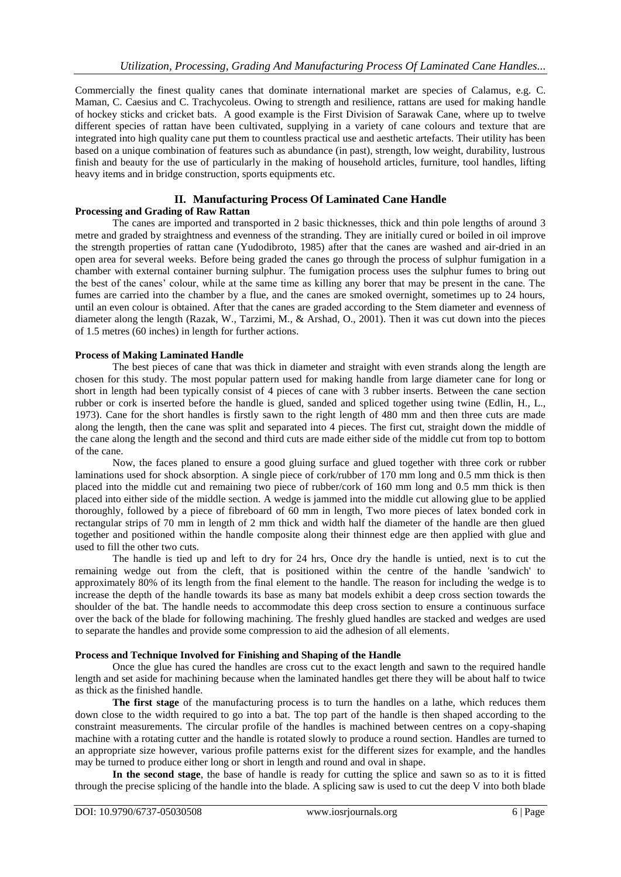Commercially the finest quality canes that dominate international market are species of Calamus, e.g. C. Maman, C. Caesius and C. Trachycoleus. Owing to strength and resilience, rattans are used for making handle of hockey sticks and cricket bats. A good example is the First Division of Sarawak Cane, where up to twelve different species of rattan have been cultivated, supplying in a variety of cane colours and texture that are integrated into high quality cane put them to countless practical use and aesthetic artefacts. Their utility has been based on a unique combination of features such as abundance (in past), strength, low weight, durability, lustrous finish and beauty for the use of particularly in the making of household articles, furniture, tool handles, lifting heavy items and in bridge construction, sports equipments etc.

### **II. Manufacturing Process Of Laminated Cane Handle Processing and Grading of Raw Rattan**

The canes are imported and transported in 2 basic thicknesses, thick and thin pole lengths of around 3 metre and graded by straightness and evenness of the stranding. They are initially cured or boiled in oil improve the strength properties of rattan cane (Yudodibroto, 1985) after that the canes are washed and air-dried in an open area for several weeks. Before being graded the canes go through the process of sulphur fumigation in a chamber with external container burning sulphur. The fumigation process uses the sulphur fumes to bring out the best of the canes' colour, while at the same time as killing any borer that may be present in the cane. The fumes are carried into the chamber by a flue, and the canes are smoked overnight, sometimes up to 24 hours, until an even colour is obtained. After that the canes are graded according to the Stem diameter and evenness of diameter along the length (Razak, W., Tarzimi, M., & Arshad, O., 2001). Then it was cut down into the pieces of 1.5 metres (60 inches) in length for further actions.

# **Process of Making Laminated Handle**

The best pieces of cane that was thick in diameter and straight with even strands along the length are chosen for this study. The most popular pattern used for making handle from large diameter cane for long or short in length had been typically consist of 4 pieces of cane with 3 rubber inserts. Between the cane section rubber or cork is inserted before the handle is glued, sanded and spliced together using twine (Edlin, H., L., 1973). Cane for the short handles is firstly sawn to the right length of 480 mm and then three cuts are made along the length, then the cane was split and separated into 4 pieces. The first cut, straight down the middle of the cane along the length and the second and third cuts are made either side of the middle cut from top to bottom of the cane.

Now, the faces planed to ensure a good gluing surface and glued together with three cork or rubber laminations used for shock absorption. A single piece of cork/rubber of 170 mm long and 0.5 mm thick is then placed into the middle cut and remaining two piece of rubber/cork of 160 mm long and 0.5 mm thick is then placed into either side of the middle section. A wedge is jammed into the middle cut allowing glue to be applied thoroughly, followed by a piece of fibreboard of 60 mm in length, Two more pieces of latex bonded cork in rectangular strips of 70 mm in length of 2 mm thick and width half the diameter of the handle are then glued together and positioned within the handle composite along their thinnest edge are then applied with glue and used to fill the other two cuts.

The handle is tied up and left to dry for 24 hrs, Once dry the handle is untied, next is to cut the remaining wedge out from the cleft, that is positioned within the centre of the handle 'sandwich' to approximately 80% of its length from the final element to the handle. The reason for including the wedge is to increase the depth of the handle towards its base as many bat models exhibit a deep cross section towards the shoulder of the bat. The handle needs to accommodate this deep cross section to ensure a continuous surface over the back of the blade for following machining. The freshly glued handles are stacked and wedges are used to separate the handles and provide some compression to aid the adhesion of all elements.

# **Process and Technique Involved for Finishing and Shaping of the Handle**

Once the glue has cured the handles are cross cut to the exact length and sawn to the required handle length and set aside for machining because when the laminated handles get there they will be about half to twice as thick as the finished handle.

**The first stage** of the manufacturing process is to turn the handles on a lathe, which reduces them down close to the width required to go into a bat. The top part of the handle is then shaped according to the constraint measurements. The circular profile of the handles is machined between centres on a copy-shaping machine with a rotating cutter and the handle is rotated slowly to produce a round section. Handles are turned to an appropriate size however, various profile patterns exist for the different sizes for example, and the handles may be turned to produce either long or short in length and round and oval in shape.

**In the second stage**, the base of handle is ready for cutting the splice and sawn so as to it is fitted through the precise splicing of the handle into the blade. A splicing saw is used to cut the deep V into both blade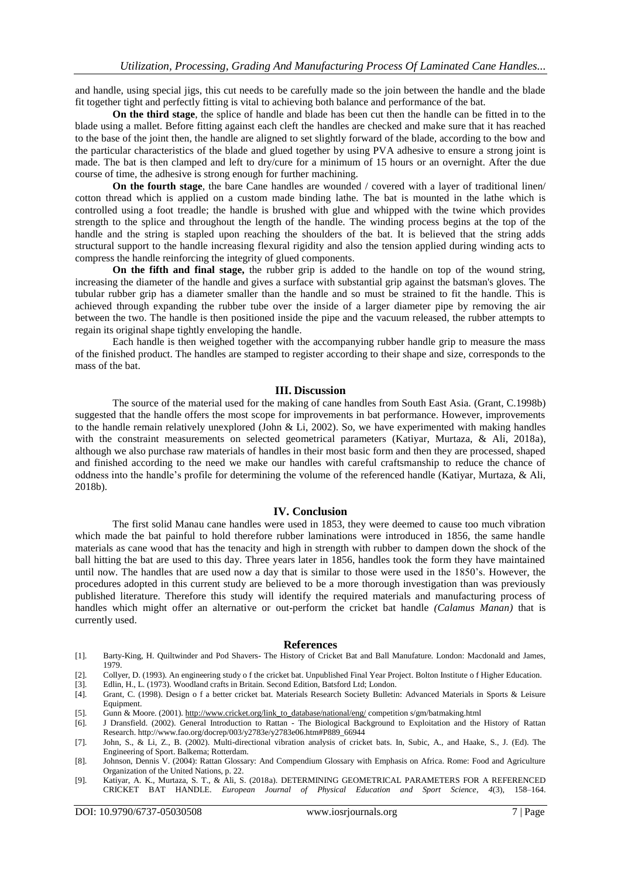and handle, using special jigs, this cut needs to be carefully made so the join between the handle and the blade fit together tight and perfectly fitting is vital to achieving both balance and performance of the bat.

**On the third stage**, the splice of handle and blade has been cut then the handle can be fitted in to the blade using a mallet. Before fitting against each cleft the handles are checked and make sure that it has reached to the base of the joint then, the handle are aligned to set slightly forward of the blade, according to the bow and the particular characteristics of the blade and glued together by using PVA adhesive to ensure a strong joint is made. The bat is then clamped and left to dry/cure for a minimum of 15 hours or an overnight. After the due course of time, the adhesive is strong enough for further machining.

**On the fourth stage**, the bare Cane handles are wounded / covered with a layer of traditional linen/ cotton thread which is applied on a custom made binding lathe. The bat is mounted in the lathe which is controlled using a foot treadle; the handle is brushed with glue and whipped with the twine which provides strength to the splice and throughout the length of the handle. The winding process begins at the top of the handle and the string is stapled upon reaching the shoulders of the bat. It is believed that the string adds structural support to the handle increasing flexural rigidity and also the tension applied during winding acts to compress the handle reinforcing the integrity of glued components.

**On the fifth and final stage,** the rubber grip is added to the handle on top of the wound string, increasing the diameter of the handle and gives a surface with substantial grip against the batsman's gloves. The tubular rubber grip has a diameter smaller than the handle and so must be strained to fit the handle. This is achieved through expanding the rubber tube over the inside of a larger diameter pipe by removing the air between the two. The handle is then positioned inside the pipe and the vacuum released, the rubber attempts to regain its original shape tightly enveloping the handle.

Each handle is then weighed together with the accompanying rubber handle grip to measure the mass of the finished product. The handles are stamped to register according to their shape and size, corresponds to the mass of the bat.

#### **III. Discussion**

The source of the material used for the making of cane handles from South East Asia. (Grant, C.1998b) suggested that the handle offers the most scope for improvements in bat performance. However, improvements to the handle remain relatively unexplored (John & Li, 2002). So, we have experimented with making handles with the constraint measurements on selected geometrical parameters (Katiyar, Murtaza, & Ali, 2018a), although we also purchase raw materials of handles in their most basic form and then they are processed, shaped and finished according to the need we make our handles with careful craftsmanship to reduce the chance of oddness into the handle's profile for determining the volume of the referenced handle (Katiyar, Murtaza, & Ali, 2018b).

#### **IV. Conclusion**

The first solid Manau cane handles were used in 1853, they were deemed to cause too much vibration which made the bat painful to hold therefore rubber laminations were introduced in 1856, the same handle materials as cane wood that has the tenacity and high in strength with rubber to dampen down the shock of the ball hitting the bat are used to this day. Three years later in 1856, handles took the form they have maintained until now. The handles that are used now a day that is similar to those were used in the 1850's. However, the procedures adopted in this current study are believed to be a more thorough investigation than was previously published literature. Therefore this study will identify the required materials and manufacturing process of handles which might offer an alternative or out-perform the cricket bat handle *(Calamus Manan)* that is currently used.

#### **References**

- [1]. Barty-King, H. Quiltwinder and Pod Shavers- The History of Cricket Bat and Ball Manufature. London: Macdonald and James, 1979.
- [2]. Collyer, D. (1993). An engineering study o f the cricket bat. Unpublished Final Year Project. Bolton Institute o f Higher Education.
- 
- [3]. Edlin, H., L. (1973). Woodland crafts in Britain. Second Edition, Batsford Ltd; London. [4]. Grant, C. (1998). Design of a better cricket bat. Materials Research Society Bulletin [4]. Grant, C. (1998). Design o f a better cricket bat. Materials Research Society Bulletin: Advanced Materials in Sports & Leisure Equipment.
- [5]. Gunn & Moore. (2001)[. http://www.cricket.org/link\\_to\\_database/national/eng/](http://www.cricket.org/link_to_database/NATIONAL/ENG/) competition s/gm/batmaking.html [6]. J Dransfield. (2002). General Introduction to Rattan The Biological Background to Exploitation and the
- [6]. J Dransfield. (2002). General Introduction to Rattan The Biological Background to Exploitation and the History of Rattan Research. http://www.fao.org/docrep/003/y2783e/y2783e06.htm#P889\_66944
- [7]. John, S., & Li, Z., B. (2002). Multi-directional vibration analysis of cricket bats. In, Subic, A., and Haake, S., J. (Ed). The Engineering of Sport. Balkema; Rotterdam.
- [8]. Johnson, Dennis V. (2004): Rattan Glossary: And Compendium Glossary with Emphasis on Africa. Rome: Food and Agriculture Organization of the United Nations, p. 22.
- [9]. Katiyar, A. K., Murtaza, S. T., & Ali, S. (2018a). DETERMINING GEOMETRICAL PARAMETERS FOR A REFERENCED CRICKET BAT HANDLE. *European Journal of Physical Education and Sport Science*, *4*(3), 158–164.